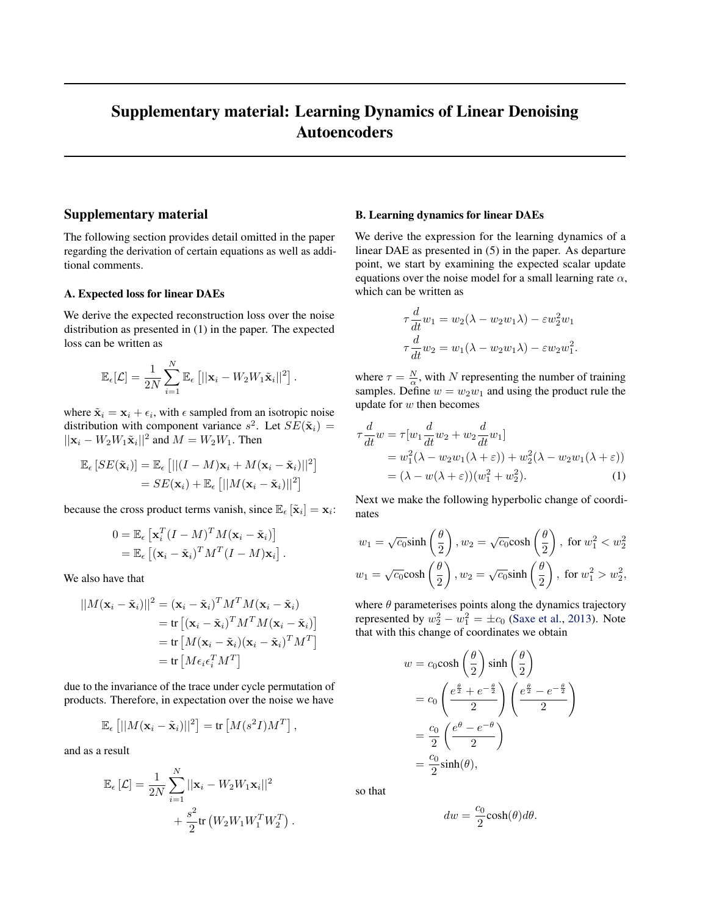# <span id="page-0-0"></span>Supplementary material: Learning Dynamics of Linear Denoising Autoencoders

## Supplementary material

The following section provides detail omitted in the paper regarding the derivation of certain equations as well as additional comments.

#### A. Expected loss for linear DAEs

We derive the expected reconstruction loss over the noise distribution as presented in (1) in the paper. The expected loss can be written as

$$
\mathbb{E}_{\epsilon}[\mathcal{L}] = \frac{1}{2N} \sum_{i=1}^{N} \mathbb{E}_{\epsilon} [||\mathbf{x}_i - W_2 W_1 \tilde{\mathbf{x}}_i||^2].
$$

where  $\tilde{\mathbf{x}}_i = \mathbf{x}_i + \epsilon_i$ , with  $\epsilon$  sampled from an isotropic noise distribution with component variance  $s^2$ . Let  $SE(\tilde{\mathbf{x}}_i)$  =  $||\mathbf{x}_i - W_2 W_1 \tilde{\mathbf{x}}_i||^2$  and  $M = W_2 W_1$ . Then

$$
\mathbb{E}_{\epsilon}[SE(\tilde{\mathbf{x}}_i)] = \mathbb{E}_{\epsilon} [||(I - M)\mathbf{x}_i + M(\mathbf{x}_i - \tilde{\mathbf{x}}_i)||^2]
$$
  
=  $SE(\mathbf{x}_i) + \mathbb{E}_{\epsilon} [||M(\mathbf{x}_i - \tilde{\mathbf{x}}_i)||^2]$ 

because the cross product terms vanish, since  $\mathbb{E}_{\epsilon} [\tilde{\mathbf{x}}_i] = \mathbf{x}_i$ :

$$
0 = \mathbb{E}_{\epsilon} \left[ \mathbf{x}_i^T (I - M)^T M (\mathbf{x}_i - \tilde{\mathbf{x}}_i) \right]
$$
  
= 
$$
\mathbb{E}_{\epsilon} \left[ (\mathbf{x}_i - \tilde{\mathbf{x}}_i)^T M^T (I - M) \mathbf{x}_i \right].
$$

We also have that

$$
||M(\mathbf{x}_i - \tilde{\mathbf{x}}_i)||^2 = (\mathbf{x}_i - \tilde{\mathbf{x}}_i)^T M^T M (\mathbf{x}_i - \tilde{\mathbf{x}}_i)
$$
  
= tr [(\mathbf{x}\_i - \tilde{\mathbf{x}}\_i)^T M^T M (\mathbf{x}\_i - \tilde{\mathbf{x}}\_i)]  
= tr [M(\mathbf{x}\_i - \tilde{\mathbf{x}}\_i) (\mathbf{x}\_i - \tilde{\mathbf{x}}\_i)^T M^T]  
= tr [M \epsilon\_i \epsilon\_i^T M^T]

due to the invariance of the trace under cycle permutation of products. Therefore, in expectation over the noise we have

$$
\mathbb{E}_{\epsilon}\left[||M(\mathbf{x}_i-\tilde{\mathbf{x}}_i)||^2\right]=\text{tr}\left[M(s^2I)M^T\right],
$$

and as a result

$$
\mathbb{E}_{\epsilon}\left[\mathcal{L}\right] = \frac{1}{2N} \sum_{i=1}^{N} ||\mathbf{x}_i - W_2 W_1 \mathbf{x}_i||^2
$$

$$
+ \frac{s^2}{2} \text{tr}\left(W_2 W_1 W_1^T W_2^T\right).
$$

### B. Learning dynamics for linear DAEs

We derive the expression for the learning dynamics of a linear DAE as presented in (5) in the paper. As departure point, we start by examining the expected scalar update equations over the noise model for a small learning rate  $\alpha$ , which can be written as

$$
\tau \frac{d}{dt} w_1 = w_2(\lambda - w_2 w_1 \lambda) - \varepsilon w_2^2 w_1
$$

$$
\tau \frac{d}{dt} w_2 = w_1(\lambda - w_2 w_1 \lambda) - \varepsilon w_2 w_1^2.
$$

where  $\tau = \frac{N}{\alpha}$ , with N representing the number of training samples. Define  $w = w_2w_1$  and using the product rule the update for  $w$  then becomes

$$
\tau \frac{d}{dt} w = \tau [w_1 \frac{d}{dt} w_2 + w_2 \frac{d}{dt} w_1]
$$
  
=  $w_1^2 (\lambda - w_2 w_1 (\lambda + \varepsilon)) + w_2^2 (\lambda - w_2 w_1 (\lambda + \varepsilon))$   
=  $(\lambda - w(\lambda + \varepsilon)) (w_1^2 + w_2^2).$  (1)

Next we make the following hyperbolic change of coordinates

$$
w_1 = \sqrt{c_0} \sinh\left(\frac{\theta}{2}\right), w_2 = \sqrt{c_0} \cosh\left(\frac{\theta}{2}\right), \text{ for } w_1^2 < w_2^2
$$
  

$$
w_1 = \sqrt{c_0} \cosh\left(\frac{\theta}{2}\right), w_2 = \sqrt{c_0} \sinh\left(\frac{\theta}{2}\right), \text{ for } w_1^2 > w_2^2,
$$

where  $\theta$  parameterises points along the dynamics trajectory represented by  $w_2^2 - w_1^2 = \pm c_0$  [\(Saxe et al.,](#page-3-0) [2013\)](#page-3-0). Note that with this change of coordinates we obtain

$$
w = c_0 \cosh\left(\frac{\theta}{2}\right) \sinh\left(\frac{\theta}{2}\right)
$$
  
=  $c_0 \left(\frac{e^{\frac{\theta}{2}} + e^{-\frac{\theta}{2}}}{2}\right) \left(\frac{e^{\frac{\theta}{2}} - e^{-\frac{\theta}{2}}}{2}\right)$   
=  $\frac{c_0}{2} \left(\frac{e^{\theta} - e^{-\theta}}{2}\right)$   
=  $\frac{c_0}{2} \sinh(\theta)$ ,

so that

$$
dw = \frac{c_0}{2} \cosh(\theta) d\theta.
$$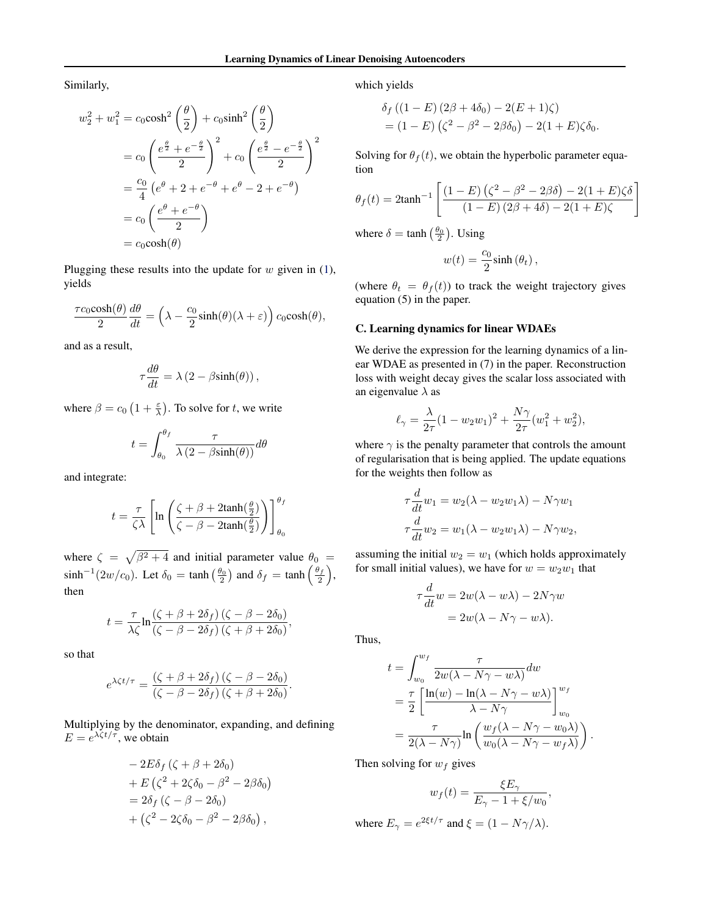Similarly,

$$
w_2^2 + w_1^2 = c_0 \cosh^2\left(\frac{\theta}{2}\right) + c_0 \sinh^2\left(\frac{\theta}{2}\right)
$$
  
=  $c_0 \left(\frac{e^{\frac{\theta}{2}} + e^{-\frac{\theta}{2}}}{2}\right)^2 + c_0 \left(\frac{e^{\frac{\theta}{2}} - e^{-\frac{\theta}{2}}}{2}\right)^2$   
=  $\frac{c_0}{4} \left(e^{\theta} + 2 + e^{-\theta} + e^{\theta} - 2 + e^{-\theta}\right)$   
=  $c_0 \left(\frac{e^{\theta} + e^{-\theta}}{2}\right)$   
=  $c_0 \cosh(\theta)$ 

Plugging these results into the update for  $w$  given in [\(1\)](#page-0-0), yields

$$
\frac{\tau c_0 \cosh(\theta)}{2} \frac{d\theta}{dt} = \left(\lambda - \frac{c_0}{2} \sinh(\theta)(\lambda + \varepsilon)\right) c_0 \cosh(\theta),
$$

and as a result,

$$
\tau \frac{d\theta}{dt} = \lambda (2 - \beta \sinh(\theta)),
$$

where  $\beta = c_0 \left(1 + \frac{\varepsilon}{\lambda}\right)$ . To solve for t, we write

$$
t = \int_{\theta_0}^{\theta_f} \frac{\tau}{\lambda (2 - \beta \sinh(\theta))} d\theta
$$

and integrate:

$$
t = \frac{\tau}{\zeta \lambda} \left[ \ln \left( \frac{\zeta + \beta + 2 \tanh(\frac{\theta}{2})}{\zeta - \beta - 2 \tanh(\frac{\theta}{2})} \right) \right]_{\theta_0}^{\theta_f}
$$

where  $\zeta = \sqrt{\beta^2 + 4}$  and initial parameter value  $\theta_0 =$  $\sinh^{-1}(2w/c_0)$ . Let  $\delta_0 = \tanh\left(\frac{\theta_0}{2}\right)$  and  $\delta_f = \tanh\left(\frac{\theta_f}{2}\right)$ , then

$$
t = \frac{\tau}{\lambda \zeta} \ln \frac{(\zeta + \beta + 2\delta_f) (\zeta - \beta - 2\delta_0)}{(\zeta - \beta - 2\delta_f) (\zeta + \beta + 2\delta_0)},
$$

so that

$$
e^{\lambda \zeta t/\tau} = \frac{(\zeta + \beta + 2\delta_f) (\zeta - \beta - 2\delta_0)}{(\zeta - \beta - 2\delta_f) (\zeta + \beta + 2\delta_0)}.
$$

Multiplying by the denominator, expanding, and defining  $E = e^{\lambda \zeta t / \tau}$ , we obtain

$$
-2E\delta_f(\zeta + \beta + 2\delta_0)
$$
  
+ 
$$
E(\zeta^2 + 2\zeta\delta_0 - \beta^2 - 2\beta\delta_0)
$$
  
= 
$$
2\delta_f(\zeta - \beta - 2\delta_0)
$$
  
+ 
$$
(\zeta^2 - 2\zeta\delta_0 - \beta^2 - 2\beta\delta_0),
$$

which yields

$$
\delta_f ((1 - E) (2\beta + 4\delta_0) - 2(E + 1)\zeta)
$$
  
= (1 - E) (\zeta^2 - \beta^2 - 2\beta\delta\_0) - 2(1 + E)\zeta\delta\_0.

Solving for  $\theta_f(t)$ , we obtain the hyperbolic parameter equation

$$
\theta_f(t) = 2 \tanh^{-1} \left[ \frac{(1 - E) (\zeta^2 - \beta^2 - 2\beta \delta) - 2(1 + E) \zeta \delta}{(1 - E) (2\beta + 4\delta) - 2(1 + E) \zeta} \right]
$$

where  $\delta = \tanh\left(\frac{\theta_0}{2}\right)$ . Using

$$
w(t) = \frac{c_0}{2}\sinh(\theta_t),
$$

(where  $\theta_t = \theta_f(t)$ ) to track the weight trajectory gives equation (5) in the paper.

#### C. Learning dynamics for linear WDAEs

We derive the expression for the learning dynamics of a linear WDAE as presented in (7) in the paper. Reconstruction loss with weight decay gives the scalar loss associated with an eigenvalue  $\lambda$  as

$$
\ell_\gamma=\frac{\lambda}{2\tau}(1-w_2w_1)^2+\frac{N\gamma}{2\tau}(w_1^2+w_2^2),
$$

where  $\gamma$  is the penalty parameter that controls the amount of regularisation that is being applied. The update equations for the weights then follow as

$$
\tau \frac{d}{dt} w_1 = w_2(\lambda - w_2 w_1 \lambda) - N\gamma w_1
$$

$$
\tau \frac{d}{dt} w_2 = w_1(\lambda - w_2 w_1 \lambda) - N\gamma w_2,
$$

assuming the initial  $w_2 = w_1$  (which holds approximately for small initial values), we have for  $w = w_2w_1$  that

$$
\tau \frac{d}{dt} w = 2w(\lambda - w\lambda) - 2N\gamma w
$$

$$
= 2w(\lambda - N\gamma - w\lambda).
$$

Thus,

$$
t = \int_{w_0}^{w_f} \frac{\tau}{2w(\lambda - N\gamma - w\lambda)} dw
$$
  
= 
$$
\frac{\tau}{2} \left[ \frac{\ln(w) - \ln(\lambda - N\gamma - w\lambda)}{\lambda - N\gamma} \right]_{w_0}^{w_f}
$$
  
= 
$$
\frac{\tau}{2(\lambda - N\gamma)} \ln \left( \frac{w_f(\lambda - N\gamma - w_0\lambda)}{w_0(\lambda - N\gamma - w_f\lambda)} \right).
$$

Then solving for  $w_f$  gives

$$
w_f(t) = \frac{\xi E_\gamma}{E_\gamma - 1 + \xi/w_0},
$$

where  $E_{\gamma} = e^{2\xi t/\tau}$  and  $\xi = (1 - N\gamma/\lambda)$ .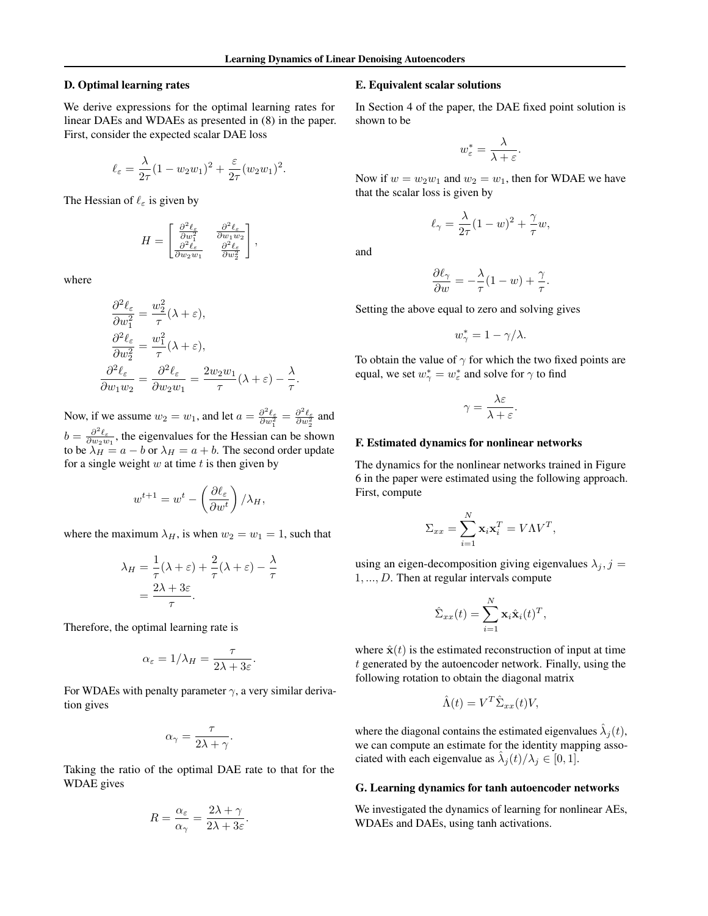#### D. Optimal learning rates

We derive expressions for the optimal learning rates for linear DAEs and WDAEs as presented in (8) in the paper. First, consider the expected scalar DAE loss

$$
\ell_{\varepsilon} = \frac{\lambda}{2\tau} (1 - w_2 w_1)^2 + \frac{\varepsilon}{2\tau} (w_2 w_1)^2.
$$

The Hessian of  $\ell_{\varepsilon}$  is given by

$$
H = \begin{bmatrix} \frac{\partial^2 \ell_{\varepsilon}}{\partial w_1^2} & \frac{\partial^2 \ell_{\varepsilon}}{\partial w_1 w_2} \\ \frac{\partial^2 \ell_{\varepsilon}}{\partial w_2 w_1} & \frac{\partial^2 \ell_{\varepsilon}}{\partial w_2^2} \end{bmatrix},
$$

where

$$
\frac{\partial^2 \ell_{\varepsilon}}{\partial w_1^2} = \frac{w_2^2}{\tau} (\lambda + \varepsilon),
$$
  
\n
$$
\frac{\partial^2 \ell_{\varepsilon}}{\partial w_2^2} = \frac{w_1^2}{\tau} (\lambda + \varepsilon),
$$
  
\n
$$
\frac{\partial^2 \ell_{\varepsilon}}{\partial w_1 w_2} = \frac{\partial^2 \ell_{\varepsilon}}{\partial w_2 w_1} = \frac{2w_2 w_1}{\tau} (\lambda + \varepsilon) - \frac{\lambda}{\tau}.
$$

Now, if we assume  $w_2 = w_1$ , and let  $a = \frac{\partial^2 \ell_{\varepsilon}}{\partial w_1^2} = \frac{\partial^2 \ell_{\varepsilon}}{\partial w_2^2}$  and  $b = \frac{\partial^2 \ell_{\varepsilon}}{\partial w_2 w_1}$ , the eigenvalues for the Hessian can be shown to be  $\lambda_H = a - b$  or  $\lambda_H = a + b$ . The second order update for a single weight  $w$  at time  $t$  is then given by

$$
w^{t+1} = w^t - \left(\frac{\partial \ell_{\varepsilon}}{\partial w^t}\right) / \lambda_H,
$$

where the maximum  $\lambda_H$ , is when  $w_2 = w_1 = 1$ , such that

$$
\lambda_H = \frac{1}{\tau}(\lambda + \varepsilon) + \frac{2}{\tau}(\lambda + \varepsilon) - \frac{\lambda}{\tau}
$$

$$
= \frac{2\lambda + 3\varepsilon}{\tau}.
$$

Therefore, the optimal learning rate is

$$
\alpha_{\varepsilon} = 1/\lambda_H = \frac{\tau}{2\lambda + 3\varepsilon}.
$$

For WDAEs with penalty parameter  $\gamma$ , a very similar derivation gives

$$
\alpha_{\gamma} = \frac{\tau}{2\lambda + \gamma}.
$$

Taking the ratio of the optimal DAE rate to that for the WDAE gives

$$
R = \frac{\alpha_{\varepsilon}}{\alpha_{\gamma}} = \frac{2\lambda + \gamma}{2\lambda + 3\varepsilon}.
$$

#### E. Equivalent scalar solutions

In Section 4 of the paper, the DAE fixed point solution is shown to be

$$
w_{\varepsilon}^* = \frac{\lambda}{\lambda + \varepsilon}.
$$

Now if  $w = w_2w_1$  and  $w_2 = w_1$ , then for WDAE we have that the scalar loss is given by

$$
\ell_{\gamma} = \frac{\lambda}{2\tau}(1-w)^2 + \frac{\gamma}{\tau}w,
$$

and

$$
\frac{\partial \ell_{\gamma}}{\partial w} = -\frac{\lambda}{\tau} (1 - w) + \frac{\gamma}{\tau}.
$$

Setting the above equal to zero and solving gives

$$
w_{\gamma}^* = 1 - \gamma/\lambda.
$$

To obtain the value of  $\gamma$  for which the two fixed points are equal, we set  $w^*_{\gamma} = w^*_{\varepsilon}$  and solve for  $\gamma$  to find

$$
\gamma = \frac{\lambda \varepsilon}{\lambda + \varepsilon}.
$$

#### F. Estimated dynamics for nonlinear networks

The dynamics for the nonlinear networks trained in Figure 6 in the paper were estimated using the following approach. First, compute

$$
\Sigma_{xx} = \sum_{i=1}^{N} \mathbf{x}_i \mathbf{x}_i^T = V \Lambda V^T,
$$

using an eigen-decomposition giving eigenvalues  $\lambda_j$ ,  $j =$ 1, ..., D. Then at regular intervals compute

$$
\hat{\Sigma}_{xx}(t) = \sum_{i=1}^{N} \mathbf{x}_i \hat{\mathbf{x}}_i(t)^T,
$$

where  $\hat{\mathbf{x}}(t)$  is the estimated reconstruction of input at time t generated by the autoencoder network. Finally, using the following rotation to obtain the diagonal matrix

$$
\hat{\Lambda}(t) = V^T \hat{\Sigma}_{xx}(t) V,
$$

where the diagonal contains the estimated eigenvalues  $\hat{\lambda}_j(t)$ , we can compute an estimate for the identity mapping associated with each eigenvalue as  $\hat{\lambda}_j(t)/\lambda_j \in [0,1]$ .

#### G. Learning dynamics for tanh autoencoder networks

We investigated the dynamics of learning for nonlinear AEs, WDAEs and DAEs, using tanh activations.